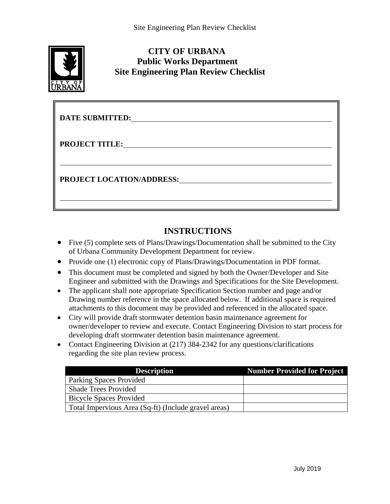

## **CITY OF URBANA Public Works Department Site Engineering Plan Review Checklist**

| <b>DATE SUBMITTED:</b>           |
|----------------------------------|
| <b>PROJECT TITLE:</b>            |
| <b>PROJECT LOCATION/ADDRESS:</b> |
|                                  |

## **INSTRUCTIONS**

- Five (5) complete sets of Plans/Drawings/Documentation shall be submitted to the City of Urbana Community Development Department for review.
- Provide one (1) electronic copy of Plans/Drawings/Documentation in PDF format.
- This document must be completed and signed by both the Owner/Developer and Site Engineer and submitted with the Drawings and Specifications for the Site Development.
- The applicant shall note appropriate Specification Section number and page and/or Drawing number reference in the space allocated below. If additional space is required attachments to this document may be provided and referenced in the allocated space.
- City will provide draft stormwater detention basin maintenance agreement for owner/developer to review and execute. Contact Engineering Division to start process for developing draft stormwater detention basin maintenance agreement.
- Contact Engineering Division at (217) 384-2342 for any questions/clarifications regarding the site plan review process.

| <b>Description</b>                                   | Number Provided for Project |
|------------------------------------------------------|-----------------------------|
| Parking Spaces Provided                              |                             |
| <b>Shade Trees Provided</b>                          |                             |
| <b>Bicycle Spaces Provided</b>                       |                             |
| Total Impervious Area (Sq-ft) (Include gravel areas) |                             |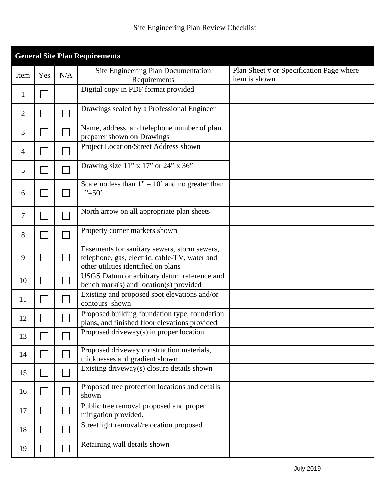| <b>General Site Plan Requirements</b> |     |     |                                                                                                                                      |                                                           |  |  |
|---------------------------------------|-----|-----|--------------------------------------------------------------------------------------------------------------------------------------|-----------------------------------------------------------|--|--|
| Item                                  | Yes | N/A | Site Engineering Plan Documentation<br>Requirements                                                                                  | Plan Sheet # or Specification Page where<br>item is shown |  |  |
| $\mathbf{1}$                          |     |     | Digital copy in PDF format provided                                                                                                  |                                                           |  |  |
| 2                                     |     |     | Drawings sealed by a Professional Engineer                                                                                           |                                                           |  |  |
| 3                                     |     |     | Name, address, and telephone number of plan<br>preparer shown on Drawings                                                            |                                                           |  |  |
| $\overline{4}$                        |     |     | Project Location/Street Address shown                                                                                                |                                                           |  |  |
| 5                                     |     |     | Drawing size $11$ " x $17$ " or $24$ " x $36$ "                                                                                      |                                                           |  |  |
| 6                                     |     |     | Scale no less than $1" = 10'$ and no greater than<br>$1" = 50"$                                                                      |                                                           |  |  |
| 7                                     |     |     | North arrow on all appropriate plan sheets                                                                                           |                                                           |  |  |
| 8                                     |     |     | Property corner markers shown                                                                                                        |                                                           |  |  |
| 9                                     |     |     | Easements for sanitary sewers, storm sewers,<br>telephone, gas, electric, cable-TV, water and<br>other utilities identified on plans |                                                           |  |  |
| 10                                    |     |     | USGS Datum or arbitrary datum reference and<br>bench mark(s) and location(s) provided                                                |                                                           |  |  |
| 11                                    |     |     | Existing and proposed spot elevations and/or<br>contours shown                                                                       |                                                           |  |  |
| 12                                    |     |     | Proposed building foundation type, foundation<br>plans, and finished floor elevations provided                                       |                                                           |  |  |
| 13                                    |     |     | Proposed driveway(s) in proper location                                                                                              |                                                           |  |  |
| 14                                    |     |     | Proposed driveway construction materials,<br>thicknesses and gradient shown                                                          |                                                           |  |  |
| 15                                    |     |     | Existing driveway(s) closure details shown                                                                                           |                                                           |  |  |
| 16                                    |     |     | Proposed tree protection locations and details<br>shown                                                                              |                                                           |  |  |
| 17                                    |     |     | Public tree removal proposed and proper<br>mitigation provided.                                                                      |                                                           |  |  |
| 18                                    |     |     | Streetlight removal/relocation proposed                                                                                              |                                                           |  |  |
| 19                                    |     |     | Retaining wall details shown                                                                                                         |                                                           |  |  |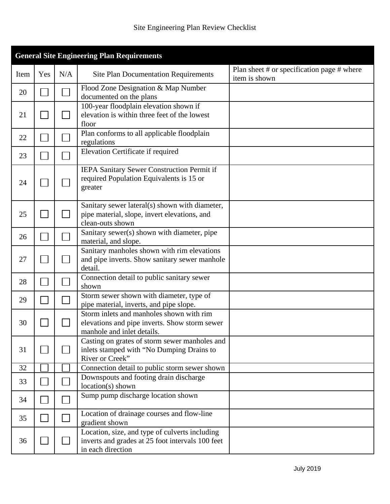| <b>General Site Engineering Plan Requirements</b> |     |     |                                                                                                                         |                                                                 |
|---------------------------------------------------|-----|-----|-------------------------------------------------------------------------------------------------------------------------|-----------------------------------------------------------------|
| Item                                              | Yes | N/A | <b>Site Plan Documentation Requirements</b>                                                                             | Plan sheet $#$ or specification page $#$ where<br>item is shown |
| 20                                                |     |     | Flood Zone Designation & Map Number<br>documented on the plans                                                          |                                                                 |
| 21                                                |     |     | 100-year floodplain elevation shown if<br>elevation is within three feet of the lowest<br>floor                         |                                                                 |
| 22                                                |     |     | Plan conforms to all applicable floodplain<br>regulations                                                               |                                                                 |
| 23                                                |     |     | Elevation Certificate if required                                                                                       |                                                                 |
| 24                                                |     |     | IEPA Sanitary Sewer Construction Permit if<br>required Population Equivalents is 15 or<br>greater                       |                                                                 |
| 25                                                |     |     | Sanitary sewer lateral(s) shown with diameter,<br>pipe material, slope, invert elevations, and<br>clean-outs shown      |                                                                 |
| 26                                                |     |     | Sanitary sewer(s) shown with diameter, pipe<br>material, and slope.                                                     |                                                                 |
| 27                                                |     |     | Sanitary manholes shown with rim elevations<br>and pipe inverts. Show sanitary sewer manhole<br>detail.                 |                                                                 |
| 28                                                |     |     | Connection detail to public sanitary sewer<br>shown                                                                     |                                                                 |
| 29                                                |     |     | Storm sewer shown with diameter, type of<br>pipe material, inverts, and pipe slope.                                     |                                                                 |
| 30                                                |     |     | Storm inlets and manholes shown with rim<br>elevations and pipe inverts. Show storm sewer<br>manhole and inlet details. |                                                                 |
| 31                                                |     |     | Casting on grates of storm sewer manholes and<br>inlets stamped with "No Dumping Drains to<br>River or Creek"           |                                                                 |
| 32                                                |     |     | Connection detail to public storm sewer shown                                                                           |                                                                 |
| 33                                                |     |     | Downspouts and footing drain discharge<br>location(s) shown                                                             |                                                                 |
| 34                                                |     |     | Sump pump discharge location shown                                                                                      |                                                                 |
| 35                                                |     |     | Location of drainage courses and flow-line<br>gradient shown                                                            |                                                                 |
| 36                                                |     |     | Location, size, and type of culverts including<br>inverts and grades at 25 foot intervals 100 feet<br>in each direction |                                                                 |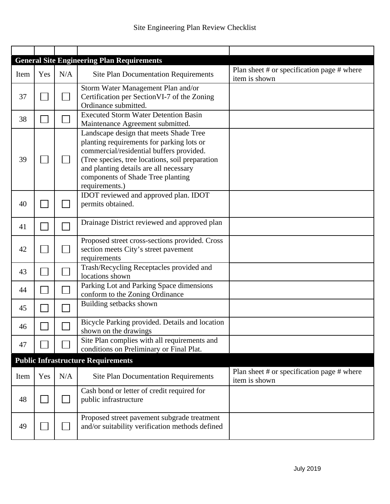|      |     |     | <b>General Site Engineering Plan Requirements</b>                                                                                                                                                                                                                                   |                                                                 |
|------|-----|-----|-------------------------------------------------------------------------------------------------------------------------------------------------------------------------------------------------------------------------------------------------------------------------------------|-----------------------------------------------------------------|
| Item | Yes | N/A | <b>Site Plan Documentation Requirements</b>                                                                                                                                                                                                                                         | Plan sheet $#$ or specification page $#$ where<br>item is shown |
| 37   |     |     | Storm Water Management Plan and/or<br>Certification per Section VI-7 of the Zoning<br>Ordinance submitted.                                                                                                                                                                          |                                                                 |
| 38   |     |     | <b>Executed Storm Water Detention Basin</b><br>Maintenance Agreement submitted.                                                                                                                                                                                                     |                                                                 |
| 39   |     |     | Landscape design that meets Shade Tree<br>planting requirements for parking lots or<br>commercial/residential buffers provided.<br>(Tree species, tree locations, soil preparation<br>and planting details are all necessary<br>components of Shade Tree planting<br>requirements.) |                                                                 |
| 40   |     |     | IDOT reviewed and approved plan. IDOT<br>permits obtained.                                                                                                                                                                                                                          |                                                                 |
| 41   |     |     | Drainage District reviewed and approved plan                                                                                                                                                                                                                                        |                                                                 |
| 42   |     |     | Proposed street cross-sections provided. Cross<br>section meets City's street pavement<br>requirements                                                                                                                                                                              |                                                                 |
| 43   |     |     | Trash/Recycling Receptacles provided and<br>locations shown                                                                                                                                                                                                                         |                                                                 |
| 44   |     |     | Parking Lot and Parking Space dimensions<br>conform to the Zoning Ordinance                                                                                                                                                                                                         |                                                                 |
| 45   |     |     | Building setbacks shown                                                                                                                                                                                                                                                             |                                                                 |
| 46   |     |     | Bicycle Parking provided. Details and location<br>shown on the drawings                                                                                                                                                                                                             |                                                                 |
| 47   |     |     | Site Plan complies with all requirements and<br>conditions on Preliminary or Final Plat.                                                                                                                                                                                            |                                                                 |
|      |     |     | <b>Public Infrastructure Requirements</b>                                                                                                                                                                                                                                           |                                                                 |
| Item | Yes | N/A | <b>Site Plan Documentation Requirements</b>                                                                                                                                                                                                                                         | Plan sheet $#$ or specification page $#$ where<br>item is shown |
| 48   |     |     | Cash bond or letter of credit required for<br>public infrastructure                                                                                                                                                                                                                 |                                                                 |
| 49   |     |     | Proposed street pavement subgrade treatment<br>and/or suitability verification methods defined                                                                                                                                                                                      |                                                                 |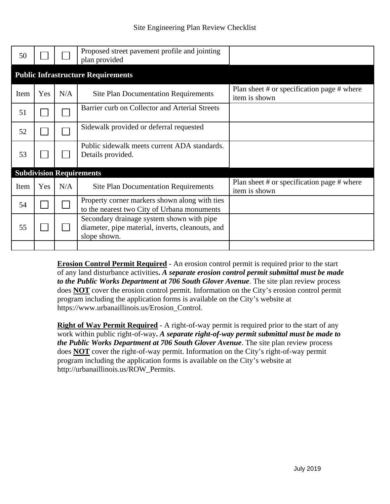| 50   |     |     | Proposed street pavement profile and jointing<br>plan provided                                                |                                                             |  |  |
|------|-----|-----|---------------------------------------------------------------------------------------------------------------|-------------------------------------------------------------|--|--|
|      |     |     | <b>Public Infrastructure Requirements</b>                                                                     |                                                             |  |  |
| Item | Yes | N/A | <b>Site Plan Documentation Requirements</b>                                                                   | Plan sheet # or specification page # where<br>item is shown |  |  |
| 51   |     |     | Barrier curb on Collector and Arterial Streets                                                                |                                                             |  |  |
| 52   |     |     | Sidewalk provided or deferral requested                                                                       |                                                             |  |  |
| 53   |     |     | Public sidewalk meets current ADA standards.<br>Details provided.                                             |                                                             |  |  |
|      |     |     | <b>Subdivision Requirements</b>                                                                               |                                                             |  |  |
| Item | Yes | N/A | <b>Site Plan Documentation Requirements</b>                                                                   | Plan sheet # or specification page # where<br>item is shown |  |  |
| 54   |     |     | Property corner markers shown along with ties<br>to the nearest two City of Urbana monuments                  |                                                             |  |  |
| 55   |     |     | Secondary drainage system shown with pipe<br>diameter, pipe material, inverts, cleanouts, and<br>slope shown. |                                                             |  |  |
|      |     |     |                                                                                                               |                                                             |  |  |

**Erosion Control Permit Required** - An erosion control permit is required prior to the start of any land disturbance activities**.** *A separate erosion control permit submittal must be made to the Public Works Department at 706 South Glover Avenue*. The site plan review process does **NOT** cover the erosion control permit. Information on the City's erosion control permit program including the application forms is available on the City's website at https://www.urbanaillinois.us/Erosion\_Control.

**Right of Way Permit Required** - A right-of-way permit is required prior to the start of any work within public right-of-way**.** *A separate right-of-way permit submittal must be made to the Public Works Department at 706 South Glover Avenue*. The site plan review process does **NOT** cover the right-of-way permit. Information on the City's right-of-way permit program including the application forms is available on the City's website at http://urbanaillinois.us/ROW\_Permits.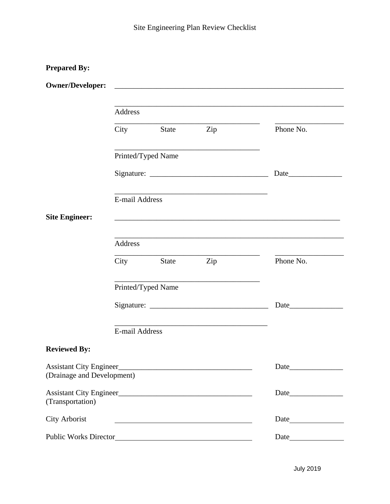| <b>Prepared By:</b>        |                       |                    |                                                                                   |           |
|----------------------------|-----------------------|--------------------|-----------------------------------------------------------------------------------|-----------|
| <b>Owner/Developer:</b>    |                       |                    | <u> 1980 - Johann John Stone, Amerikaansk politiker († 1908)</u>                  |           |
|                            | Address               |                    | ,我们也不能在这里的时候,我们也不能在这里的时候,我们也不能会在这里的时候,我们也不能会在这里的时候,我们也不能会在这里的时候,我们也不能会在这里的时候,我们也不 |           |
|                            | City                  | State              | Phone No.                                                                         |           |
|                            |                       |                    |                                                                                   |           |
|                            |                       |                    | Date                                                                              |           |
|                            | E-mail Address        |                    |                                                                                   |           |
| <b>Site Engineer:</b>      |                       |                    |                                                                                   |           |
|                            | Address               |                    |                                                                                   |           |
|                            | City                  | State              | Zip                                                                               | Phone No. |
|                            |                       | Printed/Typed Name |                                                                                   |           |
|                            |                       |                    |                                                                                   |           |
|                            | <b>E-mail Address</b> |                    |                                                                                   |           |
| <b>Reviewed By:</b>        |                       |                    |                                                                                   |           |
| (Drainage and Development) |                       |                    |                                                                                   |           |
| (Transportation)           |                       |                    |                                                                                   |           |
| City Arborist              |                       |                    |                                                                                   |           |
|                            |                       |                    |                                                                                   |           |